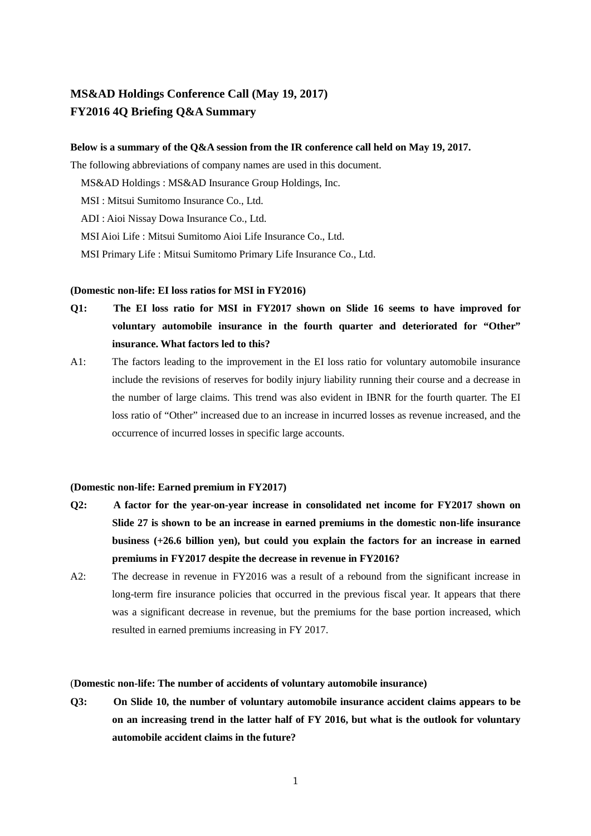# **MS&AD Holdings Conference Call (May 19, 2017) FY2016 4Q Briefing Q&A Summary**

## **Below is a summary of the Q&A session from the IR conference call held on May 19, 2017.**

The following abbreviations of company names are used in this document.

MS&AD Holdings : MS&AD Insurance Group Holdings, Inc.

MSI : Mitsui Sumitomo Insurance Co., Ltd.

ADI : Aioi Nissay Dowa Insurance Co., Ltd.

MSI Aioi Life : Mitsui Sumitomo Aioi Life Insurance Co., Ltd.

MSI Primary Life : Mitsui Sumitomo Primary Life Insurance Co., Ltd.

## **(Domestic non-life: EI loss ratios for MSI in FY2016)**

- **Q1: The EI loss ratio for MSI in FY2017 shown on Slide 16 seems to have improved for voluntary automobile insurance in the fourth quarter and deteriorated for "Other" insurance. What factors led to this?**
- A1: The factors leading to the improvement in the EI loss ratio for voluntary automobile insurance include the revisions of reserves for bodily injury liability running their course and a decrease in the number of large claims. This trend was also evident in IBNR for the fourth quarter. The EI loss ratio of "Other" increased due to an increase in incurred losses as revenue increased, and the occurrence of incurred losses in specific large accounts.

# **(Domestic non-life: Earned premium in FY2017)**

- **Q2: A factor for the year-on-year increase in consolidated net income for FY2017 shown on Slide 27 is shown to be an increase in earned premiums in the domestic non-life insurance business (+26.6 billion yen), but could you explain the factors for an increase in earned premiums in FY2017 despite the decrease in revenue in FY2016?**
- A2: The decrease in revenue in FY2016 was a result of a rebound from the significant increase in long-term fire insurance policies that occurred in the previous fiscal year. It appears that there was a significant decrease in revenue, but the premiums for the base portion increased, which resulted in earned premiums increasing in FY 2017.

## (**Domestic non-life: The number of accidents of voluntary automobile insurance)**

**Q3: On Slide 10, the number of voluntary automobile insurance accident claims appears to be on an increasing trend in the latter half of FY 2016, but what is the outlook for voluntary automobile accident claims in the future?**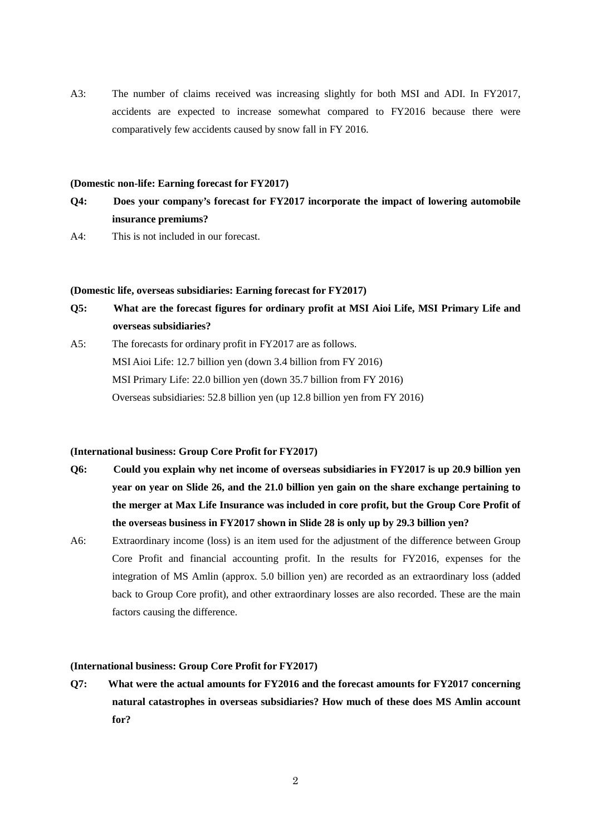A3: The number of claims received was increasing slightly for both MSI and ADI. In FY2017, accidents are expected to increase somewhat compared to FY2016 because there were comparatively few accidents caused by snow fall in FY 2016.

## **(Domestic non-life: Earning forecast for FY2017)**

- **Q4: Does your company's forecast for FY2017 incorporate the impact of lowering automobile insurance premiums?**
- A4: This is not included in our forecast.

# **(Domestic life, overseas subsidiaries: Earning forecast for FY2017)**

- **Q5: What are the forecast figures for ordinary profit at MSI Aioi Life, MSI Primary Life and overseas subsidiaries?**
- A5: The forecasts for ordinary profit in FY2017 are as follows. MSI Aioi Life: 12.7 billion yen (down 3.4 billion from FY 2016) MSI Primary Life: 22.0 billion yen (down 35.7 billion from FY 2016) Overseas subsidiaries: 52.8 billion yen (up 12.8 billion yen from FY 2016)

## **(International business: Group Core Profit for FY2017)**

- **Q6: Could you explain why net income of overseas subsidiaries in FY2017 is up 20.9 billion yen year on year on Slide 26, and the 21.0 billion yen gain on the share exchange pertaining to the merger at Max Life Insurance was included in core profit, but the Group Core Profit of the overseas business in FY2017 shown in Slide 28 is only up by 29.3 billion yen?**
- A6: Extraordinary income (loss) is an item used for the adjustment of the difference between Group Core Profit and financial accounting profit. In the results for FY2016, expenses for the integration of MS Amlin (approx. 5.0 billion yen) are recorded as an extraordinary loss (added back to Group Core profit), and other extraordinary losses are also recorded. These are the main factors causing the difference.

#### **(International business: Group Core Profit for FY2017)**

**Q7: What were the actual amounts for FY2016 and the forecast amounts for FY2017 concerning natural catastrophes in overseas subsidiaries? How much of these does MS Amlin account for?**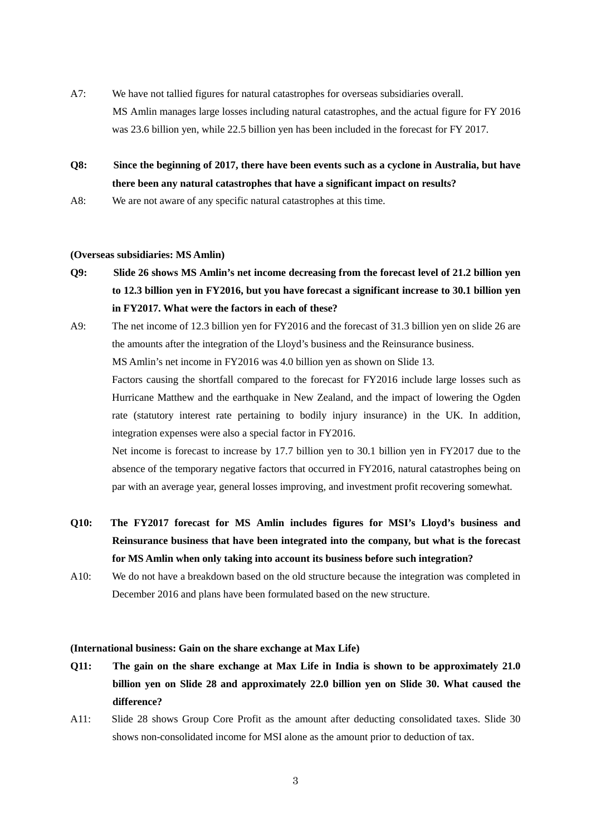- A7: We have not tallied figures for natural catastrophes for overseas subsidiaries overall. MS Amlin manages large losses including natural catastrophes, and the actual figure for FY 2016 was 23.6 billion yen, while 22.5 billion yen has been included in the forecast for FY 2017.
- **Q8: Since the beginning of 2017, there have been events such as a cyclone in Australia, but have there been any natural catastrophes that have a significant impact on results?**
- A8: We are not aware of any specific natural catastrophes at this time.

## **(Overseas subsidiaries: MS Amlin)**

- **Q9: Slide 26 shows MS Amlin's net income decreasing from the forecast level of 21.2 billion yen to 12.3 billion yen in FY2016, but you have forecast a significant increase to 30.1 billion yen in FY2017. What were the factors in each of these?**
- A9: The net income of 12.3 billion yen for FY2016 and the forecast of 31.3 billion yen on slide 26 are the amounts after the integration of the Lloyd's business and the Reinsurance business.

MS Amlin's net income in FY2016 was 4.0 billion yen as shown on Slide 13.

Factors causing the shortfall compared to the forecast for FY2016 include large losses such as Hurricane Matthew and the earthquake in New Zealand, and the impact of lowering the Ogden rate (statutory interest rate pertaining to bodily injury insurance) in the UK. In addition, integration expenses were also a special factor in FY2016.

 Net income is forecast to increase by 17.7 billion yen to 30.1 billion yen in FY2017 due to the absence of the temporary negative factors that occurred in FY2016, natural catastrophes being on par with an average year, general losses improving, and investment profit recovering somewhat.

- **Q10: The FY2017 forecast for MS Amlin includes figures for MSI's Lloyd's business and Reinsurance business that have been integrated into the company, but what is the forecast for MS Amlin when only taking into account its business before such integration?**
- A10: We do not have a breakdown based on the old structure because the integration was completed in December 2016 and plans have been formulated based on the new structure.

#### **(International business: Gain on the share exchange at Max Life)**

- **Q11: The gain on the share exchange at Max Life in India is shown to be approximately 21.0 billion yen on Slide 28 and approximately 22.0 billion yen on Slide 30. What caused the difference?**
- A11: Slide 28 shows Group Core Profit as the amount after deducting consolidated taxes. Slide 30 shows non-consolidated income for MSI alone as the amount prior to deduction of tax.